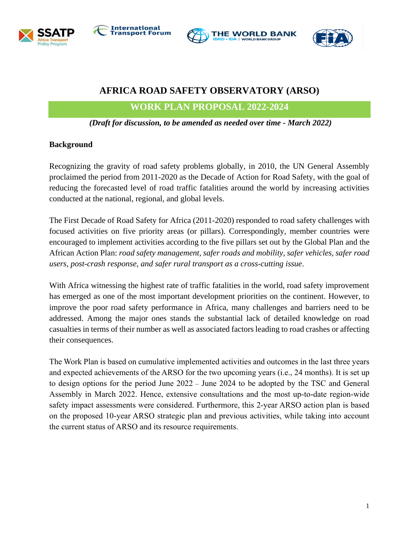







# **AFRICA ROAD SAFETY OBSERVATORY (ARSO)**

**WORK PLAN PROPOSAL 2022-2024**

*(Draft for discussion, to be amended as needed over time - March 2022)*

### **Background**

Recognizing the gravity of road safety problems globally, in 2010, the UN General Assembly proclaimed the period from 2011-2020 as the Decade of Action for Road Safety, with the goal of reducing the forecasted level of road traffic fatalities around the world by increasing activities conducted at the national, regional, and global levels.

The First Decade of Road Safety for Africa (2011-2020) responded to road safety challenges with focused activities on five priority areas (or pillars). Correspondingly, member countries were encouraged to implement activities according to the five pillars set out by the Global Plan and the African Action Plan: *road safety management, safer roads and mobility, safer vehicles, safer road users, post-crash response, and safer rural transport as a cross-cutting issue*.

With Africa witnessing the highest rate of traffic fatalities in the world, road safety improvement has emerged as one of the most important development priorities on the continent. However, to improve the poor road safety performance in Africa, many challenges and barriers need to be addressed. Among the major ones stands the substantial lack of detailed knowledge on road casualties in terms of their number as well as associated factors leading to road crashes or affecting their consequences.

The Work Plan is based on cumulative implemented activities and outcomes in the last three years and expected achievements of the ARSO for the two upcoming years (i.e., 24 months). It is set up to design options for the period June 2022 – June 2024 to be adopted by the TSC and General Assembly in March 2022. Hence, extensive consultations and the most up-to-date region-wide safety impact assessments were considered. Furthermore, this 2-year ARSO action plan is based on the proposed 10-year ARSO strategic plan and previous activities, while taking into account the current status of ARSO and its resource requirements.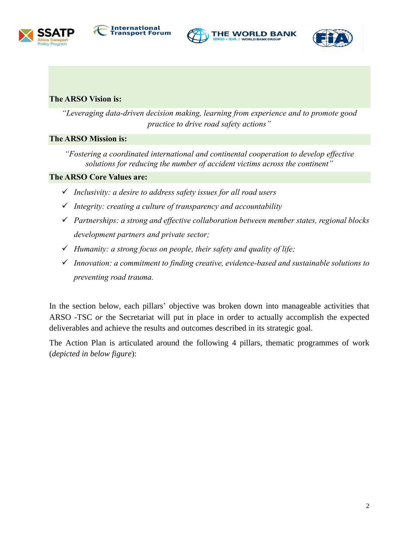







### **The ARSO Vision is:**

*"Leveraging data-driven decision making, learning from experience and to promote good practice to drive road safety actions"*

## **The ARSO Mission is:**

*"Fostering a coordinated international and continental cooperation to develop effective solutions for reducing the number of accident victims across the continent"*

## **The ARSO Core Values are:**

- ✓ *Inclusivity: a desire to address safety issues for all road users*
- ✓ *Integrity: creating a culture of transparency and accountability*
- ✓ *Partnerships: a strong and effective collaboration between member states, regional blocks development partners and private sector;*
- ✓ *Humanity: a strong focus on people, their safety and quality of life;*
- ✓ *Innovation: a commitment to finding creative, evidence-based and sustainable solutions to preventing road trauma.*

In the section below, each pillars' objective was broken down into manageable activities that ARSO -TSC *or* the Secretariat will put in place in order to actually accomplish the expected deliverables and achieve the results and outcomes described in its strategic goal.

The Action Plan is articulated around the following 4 pillars, thematic programmes of work (*depicted in below figure*):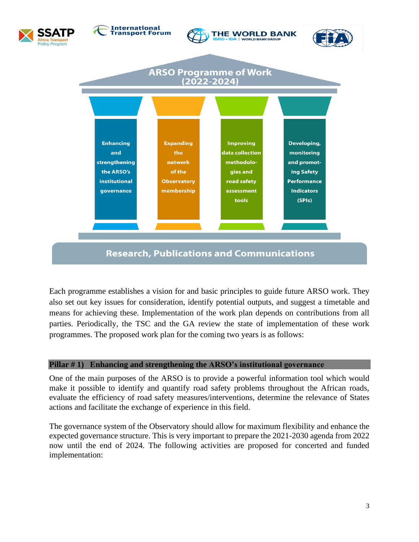

## **Research, Publications and Communications**

Each programme establishes a vision for and basic principles to guide future ARSO work. They also set out key issues for consideration, identify potential outputs, and suggest a timetable and means for achieving these. Implementation of the work plan depends on contributions from all parties. Periodically, the TSC and the GA review the state of implementation of these work programmes. The proposed work plan for the coming two years is as follows:

#### **Pillar # 1) Enhancing and strengthening the ARSO's institutional governance**

One of the main purposes of the ARSO is to provide a powerful information tool which would make it possible to identify and quantify road safety problems throughout the African roads, evaluate the efficiency of road safety measures/interventions, determine the relevance of States actions and facilitate the exchange of experience in this field.

The governance system of the Observatory should allow for maximum flexibility and enhance the expected governance structure. This is very important to prepare the 2021-2030 agenda from 2022 now until the end of 2024. The following activities are proposed for concerted and funded implementation: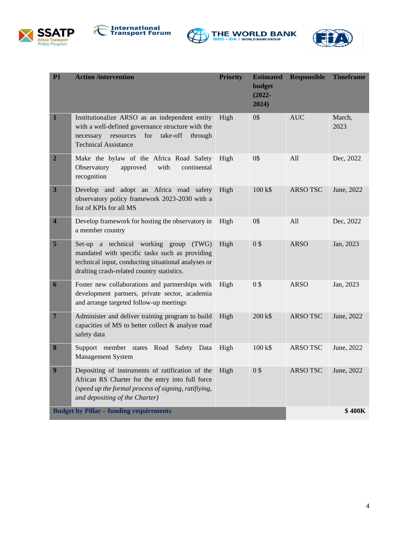







| <b>P1</b>                                      | <b>Action /intervention</b>                                                                                                                                                                      | <b>Priority</b> | <b>Estimated</b><br>budget<br>$(2022 -$<br>2024) | <b>Responsible</b> | <b>Timeframe</b> |
|------------------------------------------------|--------------------------------------------------------------------------------------------------------------------------------------------------------------------------------------------------|-----------------|--------------------------------------------------|--------------------|------------------|
| $\mathbf{1}$                                   | Institutionalize ARSO as an independent entity<br>with a well-defined governance structure with the<br>necessary resources<br>for<br>take-off<br>through<br><b>Technical Assistance</b>          | High            | 0\$                                              | <b>AUC</b>         | March,<br>2023   |
| $\overline{2}$                                 | Make the bylaw of the Africa Road Safety<br>Observatory<br>approved<br>with<br>continental<br>recognition                                                                                        | High            | 0\$                                              | All                | Dec, 2022        |
| $\mathbf{3}$                                   | Develop and adopt an Africa road safety<br>observatory policy framework 2023-2030 with a<br>list of KPIs for all MS                                                                              | High            | $100 k$ \$                                       | ARSO TSC           | June, 2022       |
| $\overline{\mathbf{4}}$                        | Develop framework for hosting the observatory in<br>a member country                                                                                                                             | High            | 0\$                                              | All                | Dec, 2022        |
| $\overline{\mathbf{5}}$                        | Set-up a technical working group<br>(TWG)<br>mandated with specific tasks such as providing<br>technical input, conducting situational analyses or<br>drafting crash-related country statistics. | High            | 0\$                                              | <b>ARSO</b>        | Jan, 2023        |
| 6                                              | Foster new collaborations and partnerships with<br>development partners, private sector, academia<br>and arrange targeted follow-up meetings                                                     | High            | 0\$                                              | <b>ARSO</b>        | Jan, 2023        |
| 7                                              | Administer and deliver training program to build<br>capacities of MS to better collect & analyze road<br>safety data                                                                             | High            | 200 k\$                                          | <b>ARSO TSC</b>    | June, 2022       |
| 8                                              | Support member states Road<br>Safety Data<br>Management System                                                                                                                                   | High            | 100 k\$                                          | <b>ARSO TSC</b>    | June, 2022       |
| $\boldsymbol{9}$                               | Depositing of instruments of ratification of the<br>African RS Charter for the entry into full force<br>(speed up the formal process of signing, ratifiying,<br>and depositing of the Charter)   | High            | 0\$                                              | <b>ARSO TSC</b>    | June, 2022       |
| <b>Budget by Pillar - funding requirements</b> |                                                                                                                                                                                                  |                 |                                                  |                    | <b>\$400K</b>    |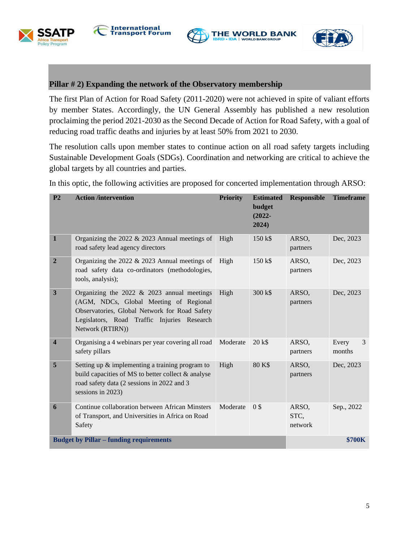





#### **Pillar # 2) Expanding the network of the Observatory membership**

The first Plan of Action for Road Safety (2011-2020) were not achieved in spite of valiant efforts by member States. Accordingly, the UN General Assembly has published a new resolution proclaiming the period 2021-2030 as the Second Decade of Action for Road Safety, with a goal of reducing road traffic deaths and injuries by at least 50% from 2021 to 2030.

The resolution calls upon member states to continue action on all road safety targets including Sustainable Development Goals (SDGs). Coordination and networking are critical to achieve the global targets by all countries and parties.

In this optic, the following activities are proposed for concerted implementation through ARSO:

| P <sub>2</sub>                                 | <b>Action /intervention</b>                                                                                                                                                                                 | <b>Priority</b> | <b>Estimated</b><br>budget<br>$(2022 -$<br>2024) | <b>Responsible</b>       | <b>Timeframe</b>     |
|------------------------------------------------|-------------------------------------------------------------------------------------------------------------------------------------------------------------------------------------------------------------|-----------------|--------------------------------------------------|--------------------------|----------------------|
| 1                                              | Organizing the $2022 \& 2023$ Annual meetings of<br>road safety lead agency directors                                                                                                                       | High            | $150 k$ \$                                       | ARSO,<br>partners        | Dec, 2023            |
| $\boldsymbol{2}$                               | Organizing the 2022 $& 2023$ Annual meetings of<br>road safety data co-ordinators (methodologies,<br>tools, analysis);                                                                                      | High            | $150 \text{ k}\$                                 | ARSO,<br>partners        | Dec, 2023            |
| 3                                              | Organizing the $2022 \& 2023$ annual meetings<br>(AGM, NDCs, Global Meeting of Regional<br>Observatories, Global Network for Road Safety<br>Legislators, Road Traffic Injuries Research<br>Network (RTIRN)) | High            | 300 k\$                                          | ARSO,<br>partners        | Dec, 2023            |
| $\overline{\mathbf{4}}$                        | Organising a 4 webinars per year covering all road<br>safety pillars                                                                                                                                        | Moderate        | 20 k\$                                           | ARSO,<br>partners        | 3<br>Every<br>months |
| 5                                              | Setting up $\&$ implementing a training program to<br>build capacities of MS to better collect & analyse<br>road safety data (2 sessions in 2022 and 3<br>sessions in 2023)                                 | High            | 80 K\$                                           | ARSO,<br>partners        | Dec, 2023            |
| 6                                              | Continue collaboration between African Minsters<br>of Transport, and Universities in Africa on Road<br>Safety                                                                                               | Moderate        | 0 <sup>s</sup>                                   | ARSO,<br>STC,<br>network | Sep., 2022           |
| <b>Budget by Pillar – funding requirements</b> |                                                                                                                                                                                                             |                 |                                                  |                          | <b>\$700K</b>        |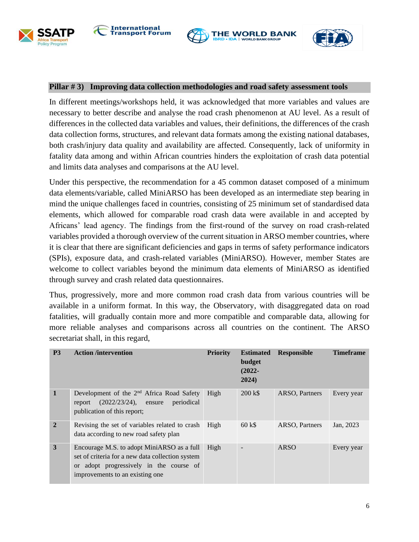





### **Pillar # 3) Improving data collection methodologies and road safety assessment tools**

In different meetings/workshops held, it was acknowledged that more variables and values are necessary to better describe and analyse the road crash phenomenon at AU level. As a result of differences in the collected data variables and values, their definitions, the differences of the crash data collection forms, structures, and relevant data formats among the existing national databases, both crash/injury data quality and availability are affected. Consequently, lack of uniformity in fatality data among and within African countries hinders the exploitation of crash data potential and limits data analyses and comparisons at the AU level.

Under this perspective, the recommendation for a 45 common dataset composed of a minimum data elements/variable, called MiniARSO has been developed as an intermediate step bearing in mind the unique challenges faced in countries, consisting of 25 minimum set of standardised data elements, which allowed for comparable road crash data were available in and accepted by Africans' lead agency. The findings from the first-round of the survey on road crash-related variables provided a thorough overview of the current situation in ARSO member countries, where it is clear that there are significant deficiencies and gaps in terms of safety performance indicators (SPIs), exposure data, and crash-related variables (MiniARSO). However, member States are welcome to collect variables beyond the minimum data elements of MiniARSO as identified through survey and crash related data questionnaires.

Thus, progressively, more and more common road crash data from various countries will be available in a uniform format. In this way, the Observatory, with disaggregated data on road fatalities, will gradually contain more and more compatible and comparable data, allowing for more reliable analyses and comparisons across all countries on the continent. The ARSO secretariat shall, in this regard,

| <b>P3</b>      | <b>Action /intervention</b>                                                                                                                                                   | <b>Priority</b> | <b>Estimated</b><br>budget<br>$(2022 -$<br>2024) | <b>Responsible</b> | <b>Timeframe</b> |
|----------------|-------------------------------------------------------------------------------------------------------------------------------------------------------------------------------|-----------------|--------------------------------------------------|--------------------|------------------|
| 1              | Development of the 2 <sup>nd</sup> Africa Road Safety<br>(2022/23/24),<br>periodical<br>report<br>ensure<br>publication of this report;                                       | High            | $200 k$ \$                                       | ARSO, Partners     | Every year       |
| $\overline{2}$ | Revising the set of variables related to crash<br>data according to new road safety plan                                                                                      | High            | $60 k$ \$                                        | ARSO, Partners     | Jan, 2023        |
| 3              | Encourage M.S. to adopt MiniARSO as a full<br>set of criteria for a new data collection system<br>or adopt progressively in the course of<br>improvements to an existing one. | High            |                                                  | <b>ARSO</b>        | Every year       |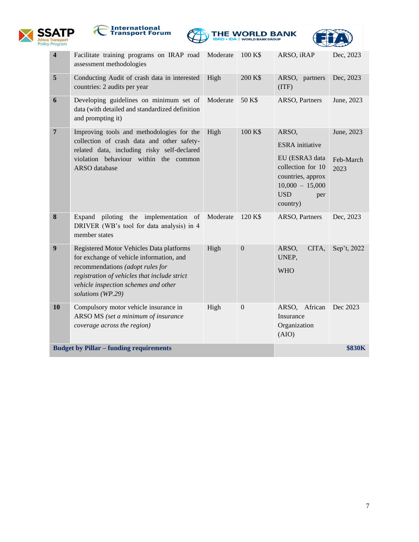







| <b>Budget by Pillar - funding requirements</b> |                                                                                                                                                                                                                                       |          |                  |                                                                                                                                                   | <b>\$830K</b>                   |
|------------------------------------------------|---------------------------------------------------------------------------------------------------------------------------------------------------------------------------------------------------------------------------------------|----------|------------------|---------------------------------------------------------------------------------------------------------------------------------------------------|---------------------------------|
| 10                                             | Compulsory motor vehicle insurance in<br>ARSO MS (set a minimum of insurance<br>coverage across the region)                                                                                                                           | High     | $\boldsymbol{0}$ | ARSO, African<br>Insurance<br>Organization<br>(AIO)                                                                                               | Dec 2023                        |
| 9                                              | Registered Motor Vehicles Data platforms<br>for exchange of vehicle information, and<br>recommendations (adopt rules for<br>registration of vehicles that include strict<br>vehicle inspection schemes and other<br>solutions (WP.29) | High     | $\overline{0}$   | ARSO,<br>CITA,<br>UNEP,<br><b>WHO</b>                                                                                                             | Sep't, 2022                     |
| 8                                              | Expand piloting the implementation<br>of<br>DRIVER (WB's tool for data analysis) in 4<br>member states                                                                                                                                | Moderate | 120 K\$          | ARSO, Partners                                                                                                                                    | Dec, 2023                       |
| $\overline{7}$                                 | Improving tools and methodologies for the<br>collection of crash data and other safety-<br>related data, including risky self-declared<br>violation behaviour within the common<br>ARSO database                                      | High     | 100 K\$          | ARSO,<br><b>ESRA</b> initiative<br>EU (ESRA3 data<br>collection for 10<br>countries, approx<br>$10,000 - 15,000$<br><b>USD</b><br>per<br>country) | June, 2023<br>Feb-March<br>2023 |
| 6                                              | Developing guidelines on minimum set of<br>data (with detailed and standardized definition<br>and prompting it)                                                                                                                       | Moderate | 50 K\$           | ARSO, Partners                                                                                                                                    | June, 2023                      |
| 5                                              | Conducting Audit of crash data in interested<br>countries: 2 audits per year                                                                                                                                                          | High     | 200 K\$          | ARSO, partners<br>(TTF)                                                                                                                           | Dec, 2023                       |
| $\overline{\mathbf{4}}$                        | Facilitate training programs on IRAP road Moderate<br>assessment methodologies                                                                                                                                                        |          | 100 K\$          | ARSO, iRAP                                                                                                                                        | Dec, 2023                       |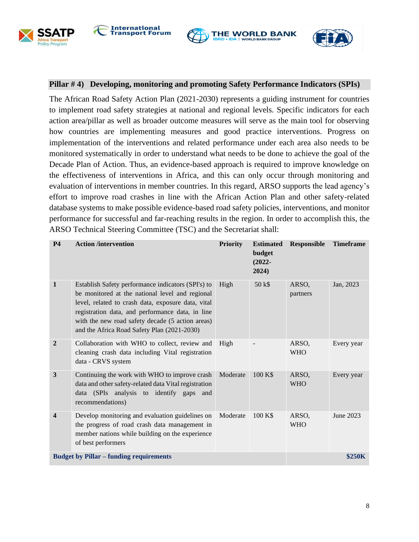







#### **Pillar # 4) Developing, monitoring and promoting Safety Performance Indicators (SPIs)**

The African Road Safety Action Plan (2021-2030) represents a guiding instrument for countries to implement road safety strategies at national and regional levels. Specific indicators for each action area/pillar as well as broader outcome measures will serve as the main tool for observing how countries are implementing measures and good practice interventions. Progress on implementation of the interventions and related performance under each area also needs to be monitored systematically in order to understand what needs to be done to achieve the goal of the Decade Plan of Action. Thus, an evidence-based approach is required to improve knowledge on the effectiveness of interventions in Africa, and this can only occur through monitoring and evaluation of interventions in member countries. In this regard, ARSO supports the lead agency's effort to improve road crashes in line with the African Action Plan and other safety-related database systems to make possible evidence-based road safety policies, interventions, and monitor performance for successful and far-reaching results in the region. In order to accomplish this, the ARSO Technical Steering Committee (TSC) and the Secretariat shall:

| <b>P4</b>                                      | <b>Action /intervention</b>                                                                                                                                                                                                                                                                                        | <b>Priority</b> | <b>Estimated</b><br>budget<br>$(2022 -$<br>2024) | <b>Responsible</b>  | <b>Timeframe</b> |
|------------------------------------------------|--------------------------------------------------------------------------------------------------------------------------------------------------------------------------------------------------------------------------------------------------------------------------------------------------------------------|-----------------|--------------------------------------------------|---------------------|------------------|
| $\mathbf{1}$                                   | Establish Safety performance indicators (SPI's) to<br>be monitored at the national level and regional<br>level, related to crash data, exposure data, vital<br>registration data, and performance data, in line<br>with the new road safety decade (5 action areas)<br>and the Africa Road Safety Plan (2021-2030) | High            | 50 k\$                                           | ARSO,<br>partners   | Jan, 2023        |
| $\overline{2}$                                 | Collaboration with WHO to collect, review and<br>cleaning crash data including Vital registration<br>data - CRVS system                                                                                                                                                                                            | High            |                                                  | ARSO,<br><b>WHO</b> | Every year       |
| $\overline{\mathbf{3}}$                        | Continuing the work with WHO to improve crash<br>data and other safety-related data Vital registration<br>data (SPIs analysis to identify gaps<br>and<br>recommendations)                                                                                                                                          | Moderate        | 100 K\$                                          | ARSO,<br><b>WHO</b> | Every year       |
| 4                                              | Develop monitoring and evaluation guidelines on<br>the progress of road crash data management in<br>member nations while building on the experience<br>of best performers                                                                                                                                          | Moderate        | 100 K\$                                          | ARSO.<br><b>WHO</b> | June 2023        |
| <b>Budget by Pillar – funding requirements</b> |                                                                                                                                                                                                                                                                                                                    |                 |                                                  |                     | <b>\$250K</b>    |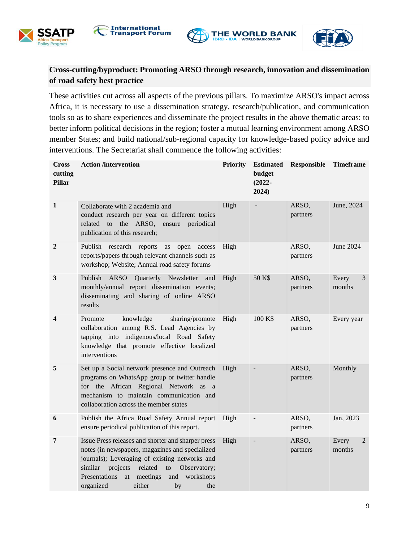

*rogram* 





## **Cross-cutting/byproduct: Promoting ARSO through research, innovation and dissemination of road safety best practice**

These activities cut across all aspects of the previous pillars. To maximize ARSO's impact across Africa, it is necessary to use a dissemination strategy, research/publication, and communication tools so as to share experiences and disseminate the project results in the above thematic areas: to better inform political decisions in the region; foster a mutual learning environment among ARSO member States; and build national/sub-regional capacity for knowledge-based policy advice and interventions. The Secretariat shall commence the following activities:

| Cross<br>cutting<br><b>Pillar</b> | <b>Action /intervention</b>                                                                                                                                                                                                                                                                                | <b>Priority</b> | <b>Estimated</b><br>budget<br>$(2022 -$<br>2024) | Responsible       | <b>Timeframe</b>     |
|-----------------------------------|------------------------------------------------------------------------------------------------------------------------------------------------------------------------------------------------------------------------------------------------------------------------------------------------------------|-----------------|--------------------------------------------------|-------------------|----------------------|
| $\mathbf{1}$                      | Collaborate with 2 academia and<br>conduct research per year on different topics<br>ARSO,<br>related<br>to<br>the<br>ensure<br>periodical<br>publication of this research;                                                                                                                                 | High            |                                                  | ARSO,<br>partners | June, 2024           |
| $\boldsymbol{2}$                  | Publish research reports<br>open<br>access<br>as<br>reports/papers through relevant channels such as<br>workshop; Website; Annual road safety forums                                                                                                                                                       | High            |                                                  | ARSO,<br>partners | June 2024            |
| $\mathbf{3}$                      | Publish<br><b>ARSO</b><br>Quarterly<br>Newsletter<br>and<br>monthly/annual report dissemination events;<br>disseminating and sharing of online ARSO<br>results                                                                                                                                             | High            | 50 K\$                                           | ARSO,<br>partners | Every<br>3<br>months |
| 4                                 | knowledge<br>Promote<br>sharing/promote<br>collaboration among R.S. Lead Agencies by<br>tapping into indigenous/local Road Safety<br>knowledge that promote effective localized<br>interventions                                                                                                           | High            | 100 K\$                                          | ARSO,<br>partners | Every year           |
| 5                                 | Set up a Social network presence and Outreach<br>programs on WhatsApp group or twitter handle<br>for the African Regional Network as a<br>mechanism to maintain communication and<br>collaboration across the member states                                                                                | High            |                                                  | ARSO,<br>partners | Monthly              |
| 6                                 | Publish the Africa Road Safety Annual report<br>ensure periodical publication of this report.                                                                                                                                                                                                              | High            |                                                  | ARSO,<br>partners | Jan, 2023            |
| 7                                 | Issue Press releases and shorter and sharper press<br>notes (in newspapers, magazines and specialized<br>journals); Leveraging of existing networks and<br>related<br>projects<br>Observatory;<br>similar<br>to<br>Presentations<br>meetings<br>workshops<br>at<br>and<br>either<br>organized<br>by<br>the | High            |                                                  | ARSO,<br>partners | Every<br>2<br>months |